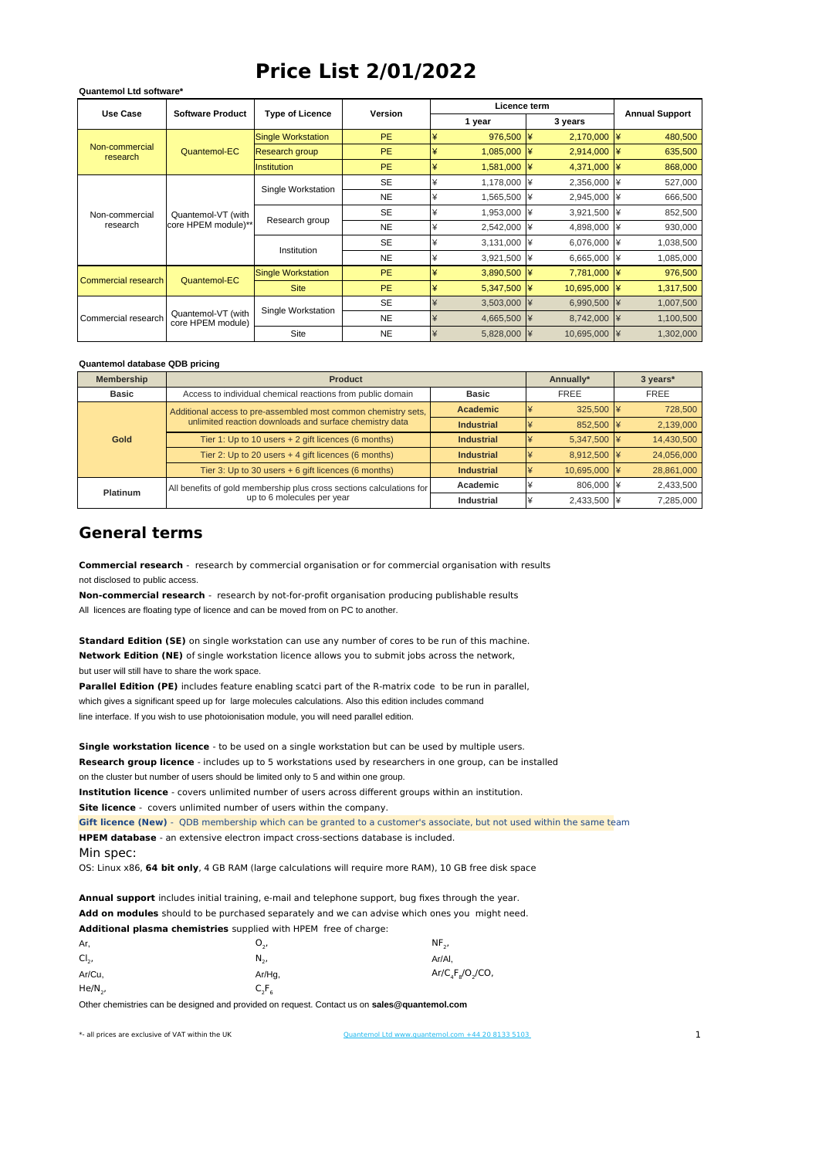## **Price List 2/01/2022**

| Use Case                   | <b>Software Product</b>                   |                           | <b>Version</b> |                  | Licence term       |                           |                       |
|----------------------------|-------------------------------------------|---------------------------|----------------|------------------|--------------------|---------------------------|-----------------------|
|                            |                                           | <b>Type of Licence</b>    |                |                  | 1 year             | 3 years                   | <b>Annual Support</b> |
| Non-commercial<br>research | <b>Quantemol-EC</b>                       | <b>Single Workstation</b> | <b>PE</b>      | ¥                | $976,500$ \\\\$    | $2,170,000$ \\\\$         | 480,500               |
|                            |                                           | <b>Research group</b>     | <b>PE</b>      | ¥                | 1,085,000 ¥        | 2,914,000 ¥               | 635,500               |
|                            |                                           | <b>Institution</b>        | <b>PE</b>      | ¥                | $1,581,000$ \\\\\$ | 4,371,000 ¥               | 868,000               |
| Non-commercial<br>research | Quantemol-VT (with<br>core HPEM module)** |                           | <b>SE</b>      |                  | 1,178,000 ¥        | 2,356,000 ¥               | 527,000               |
|                            |                                           | Single Workstation        | <b>NE</b>      | ¥                | 1,565,500 ¥        | 2,945,000 ¥               | 666,500               |
|                            |                                           |                           | <b>SE</b>      |                  | 1,953,000 ¥        | 3,921,500 ¥               | 852,500               |
|                            |                                           | Research group            | <b>NE</b>      | ¥                | 2,542,000 ¥        | 4,898,000 ¥               | 930,000               |
|                            |                                           |                           | <b>SE</b>      | ¥                | 3,131,000 ¥        | 6,076,000 ¥               | 1,038,500             |
|                            |                                           | Institution               | <b>NE</b>      |                  | 3,921,500 ¥        | 6,665,000 ¥               | 1,085,000             |
| Commercial research        | <b>Quantemol-EC</b>                       | <b>Single Workstation</b> | PE.            | ¥                | 3,890,500 ¥        | 7,781,000 ¥               | 976,500               |
|                            |                                           | <b>Site</b>               | <b>PE</b>      | ¥                | 5,347,500 ¥        | 10,695,000 ¥              | 1,317,500             |
| Commercial research        | Quantemol-VT (with<br>core HPEM module)   |                           | <b>SE</b>      | ¥                | 3,503,000          | 6,990,500 ¥               | 1,007,500             |
|                            |                                           | Single Workstation        | <b>NE</b>      | 4,665,500 ¥<br>¥ | 8,742,000 ¥        | 1,100,500                 |                       |
|                            |                                           | Site                      | <b>NE</b>      | ¥                | 5,828,000          | 10,695,000 ¥<br><b>I¥</b> | 1,302,000             |

## **Quantemol database QDB pricing**

**Quantemol Ltd software\***

| Membership   | <b>Product</b>                                                       | Annually*         | 3 years*         |            |
|--------------|----------------------------------------------------------------------|-------------------|------------------|------------|
| <b>Basic</b> | Access to individual chemical reactions from public domain           | <b>Basic</b>      | <b>FREE</b>      | FREE       |
| Gold         | Additional access to pre-assembled most common chemistry sets,       | <b>Academic</b>   | $325.500$ \\\ 24 | 728,500    |
|              | unlimited reaction downloads and surface chemistry data              | <b>Industrial</b> | 852,500 ¥        | 2,139,000  |
|              | Tier 1: Up to 10 users + 2 gift licences (6 months)                  | <b>Industrial</b> | 5.347.500 ¥      | 14,430,500 |
|              | Tier 2: Up to 20 users + 4 gift licences (6 months)                  | <b>Industrial</b> | 8.912.500 ¥      | 24,056,000 |
|              | Tier 3: Up to 30 users + 6 gift licences (6 months)                  | <b>Industrial</b> | 10.695.000 ¥     | 28,861,000 |
| Platinum     | All benefits of gold membership plus cross sections calculations for | Academic          | 806.000 ¥        | 2,433,500  |
|              | up to 6 molecules per year                                           | <b>Industrial</b> | 2,433,500 ¥      | 7,285,000  |

## **General terms**

not disclosed to public access. **Commercial research** - research by commercial organisation or for commercial organisation with results

All licences are floating type of licence and can be moved from on PC to another. **Non-commercial research** - research by not-for-profit organisation producing publishable results

but user will still have to share the work space. **Standard Edition (SE)** on single workstation can use any number of cores to be run of this machine. **Network Edition (NE)** of single workstation licence allows you to submit jobs across the network,

which gives a significant speed up for large molecules calculations. Also this edition includes command line interface. If you wish to use photoionisation module, you will need parallel edition. **Parallel Edition (PE)** includes feature enabling scatci part of the R-matrix code to be run in parallel,

on the cluster but number of users should be limited only to 5 and within one group. **Single workstation licence** - to be used on a single workstation but can be used by multiple users. **Research group licence** - includes up to 5 workstations used by researchers in one group, can be installed **Institution licence** - covers unlimited number of users across different groups within an institution.

**Site licence** - covers unlimited number of users within the company.

Min spec: **Gift licence (New)** - QDB membership which can be granted to a customer's associate, but not used within the same team **HPEM database** - an extensive electron impact cross-sections database is included.

OS: Linux x86, **64 bit only**, 4 GB RAM (large calculations will require more RAM), 10 GB free disk space

**Annual support** includes initial training, e-mail and telephone support, bug fixes through the year. **Add on modules** should to be purchased separately and we can advise which ones you might need. **Additional plasma chemistries** supplied with HPEM free of charge:

| Ar,        | υ.,       | $NF_{2}$             |
|------------|-----------|----------------------|
| $Cl2$ ,    | N.,       | Ar/Al,               |
| Ar/Cu,     | $Ar/Hg$ , | $Ar/C_4F_8/O_2/CO$ , |
| $He/N_{2}$ | $C_2F_6$  |                      |

Other chemistries can be designed and provided on request. Contact us on **sales@quantemol.com**